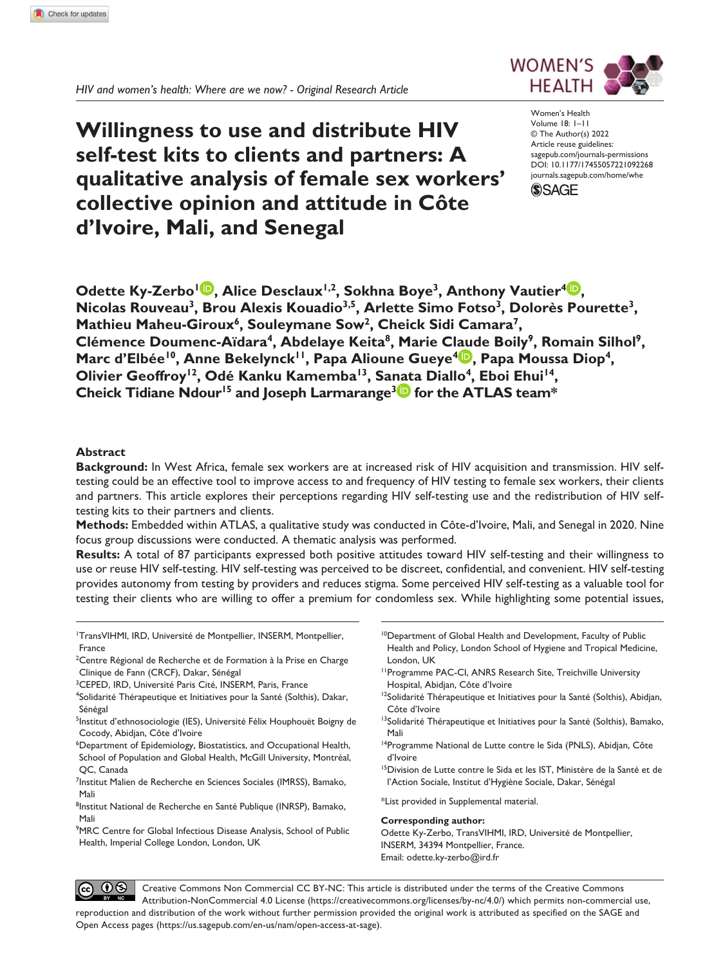*HIV and women's health: Where are we now? - Original Research Article*

# **Willingness to use and distribute HIV self-test kits to clients and partners: A qualitative analysis of female sex workers' collective opinion and attitude in Côte d'Ivoire, Mali, and Senegal**

DOI: 10.1177/17455057221092268 Women's Health Volume 18: 1–11 © The Author(s) 2022 Article reuse guidelines: [sagepub.com/journals-permissions](https://uk.sagepub.com/en-gb/journals-permissions) [journals.sagepub.com/home/whe](https://journals.sagepub.com/home/whe)



WOMEN'S **HFAITH** 

**Odette Ky-Zerbo<sup>1</sup><sup>D</sup>, Alice Desclaux<sup>1,2</sup>, Sokhna Boye<sup>3</sup>, Anthony Vautier<sup>4</sup><sup>D</sup>, Nicolas Rouveau3, Brou Alexis Kouadio3,5, Arlette Simo Fotso3, Dolorès Pourette3,**  Mathieu Maheu-Giroux<sup>6</sup>, Souleymane Sow<sup>2</sup>, Cheick Sidi Camara<sup>7</sup>, Clémence Doumenc-Aïdara<sup>4</sup>, Abdelaye Keita<sup>8</sup>, Marie Claude Boily<sup>9</sup>, Romain Silhol<sup>9</sup>, Marc d'Elbée<sup>10</sup>, Anne Bekelynck<sup>11</sup>, Papa Alioune Gueye<sup>4</sup><sup>D</sup>, Papa Moussa Diop<sup>4</sup>, Olivier Geoffroy<sup>12</sup>, Odé Kanku Kamemba<sup>13</sup>, Sanata Diallo<sup>4</sup>, Eboi Ehui<sup>14</sup>, **Cheick Tidiane Ndour15 and Joseph Larmarange3 for the ATLAS team\***

# **Abstract**

**Background:** In West Africa, female sex workers are at increased risk of HIV acquisition and transmission. HIV selftesting could be an effective tool to improve access to and frequency of HIV testing to female sex workers, their clients and partners. This article explores their perceptions regarding HIV self-testing use and the redistribution of HIV selftesting kits to their partners and clients.

**Methods:** Embedded within ATLAS, a qualitative study was conducted in Côte-d'Ivoire, Mali, and Senegal in 2020. Nine focus group discussions were conducted. A thematic analysis was performed.

**Results:** A total of 87 participants expressed both positive attitudes toward HIV self-testing and their willingness to use or reuse HIV self-testing. HIV self-testing was perceived to be discreet, confidential, and convenient. HIV self-testing provides autonomy from testing by providers and reduces stigma. Some perceived HIV self-testing as a valuable tool for testing their clients who are willing to offer a premium for condomless sex. While highlighting some potential issues,

1 TransVIHMI, IRD, Université de Montpellier, INSERM, Montpellier, France

- <sup>2</sup>Centre Régional de Recherche et de Formation à la Prise en Charge Clinique de Fann (CRCF), Dakar, Sénégal
- 3 CEPED, IRD, Université Paris Cité, INSERM, Paris, France
- 4 Solidarité Thérapeutique et Initiatives pour la Santé (Solthis), Dakar, Sénégal
- <sup>5</sup>Institut d'ethnosociologie (IES), Université Félix Houphouët Boigny de Cocody, Abidjan, Côte d'Ivoire
- 6 Department of Epidemiology, Biostatistics, and Occupational Health, School of Population and Global Health, McGill University, Montréal, QC, Canada
- <sup>7</sup>Institut Malien de Recherche en Sciences Sociales (IMRSS), Bamako, Mali
- <sup>8</sup>Institut National de Recherche en Santé Publique (INRSP), Bamako, Mali
- <sup>9</sup>MRC Centre for Global Infectious Disease Analysis, School of Public Health, Imperial College London, London, UK
- 10Department of Global Health and Development, Faculty of Public Health and Policy, London School of Hygiene and Tropical Medicine, London, UK
- 11Programme PAC-CI, ANRS Research Site, Treichville University Hospital, Abidjan, Côte d'Ivoire
- <sup>12</sup>Solidarité Thérapeutique et Initiatives pour la Santé (Solthis), Abidjan, Côte d'Ivoire
- <sup>13</sup>Solidarité Thérapeutique et Initiatives pour la Santé (Solthis), Bamako, Mali
- <sup>14</sup>Programme National de Lutte contre le Sida (PNLS), Abidjan, Côte d'Ivoire
- <sup>15</sup>Division de Lutte contre le Sida et les IST, Ministère de la Santé et de l'Action Sociale, Institut d'Hygiène Sociale, Dakar, Sénégal
- \*List provided in Supplemental material.

#### **Corresponding author:**

Odette Ky-Zerbo, TransVIHMI, IRD, Université de Montpellier, INSERM, 34394 Montpellier, France. Email: [odette.ky-zerbo@ird.fr](mailto:odette.ky-zerbo@ird.fr)

 $0$ Creative Commons Non Commercial CC BY-NC: This article is distributed under the terms of the Creative Commons Attribution-NonCommercial 4.0 License (https://creativecommons.org/licenses/by-nc/4.0/) which permits non-commercial use, reproduction and distribution of the work without further permission provided the original work is attributed as specified on the SAGE and Open Access pages (https://us.sagepub.com/en-us/nam/open-access-at-sage).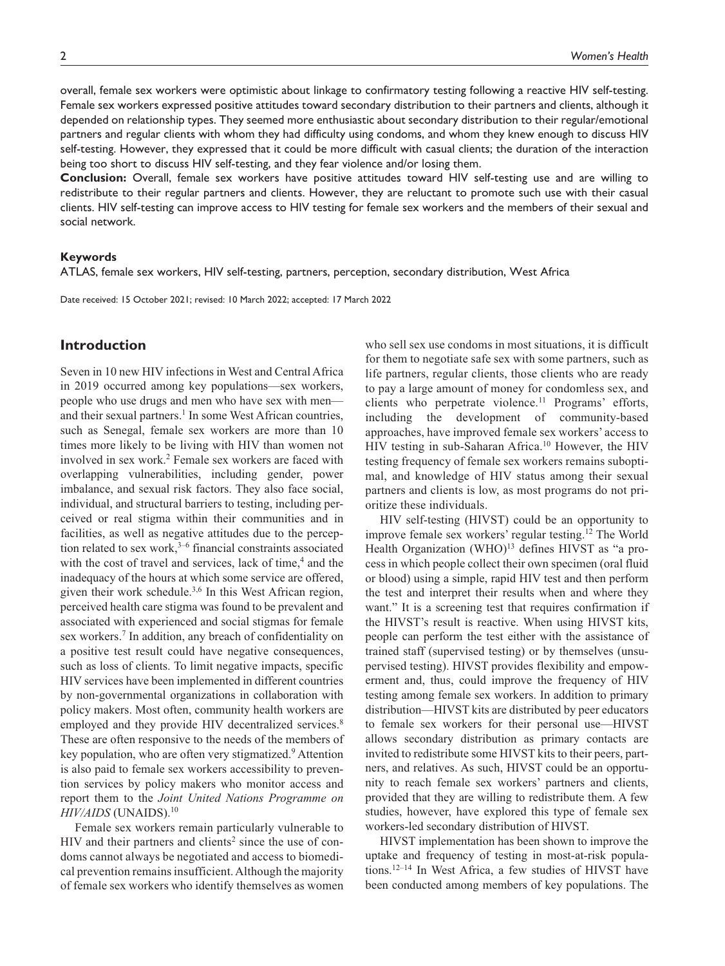overall, female sex workers were optimistic about linkage to confirmatory testing following a reactive HIV self-testing. Female sex workers expressed positive attitudes toward secondary distribution to their partners and clients, although it depended on relationship types. They seemed more enthusiastic about secondary distribution to their regular/emotional partners and regular clients with whom they had difficulty using condoms, and whom they knew enough to discuss HIV self-testing. However, they expressed that it could be more difficult with casual clients; the duration of the interaction being too short to discuss HIV self-testing, and they fear violence and/or losing them.

**Conclusion:** Overall, female sex workers have positive attitudes toward HIV self-testing use and are willing to redistribute to their regular partners and clients. However, they are reluctant to promote such use with their casual clients. HIV self-testing can improve access to HIV testing for female sex workers and the members of their sexual and social network.

#### **Keywords**

ATLAS, female sex workers, HIV self-testing, partners, perception, secondary distribution, West Africa

Date received: 15 October 2021; revised: 10 March 2022; accepted: 17 March 2022

# **Introduction**

Seven in 10 new HIV infections in West and Central Africa in 2019 occurred among key populations—sex workers, people who use drugs and men who have sex with men and their sexual partners.<sup>1</sup> In some West African countries, such as Senegal, female sex workers are more than 10 times more likely to be living with HIV than women not involved in sex work.2 Female sex workers are faced with overlapping vulnerabilities, including gender, power imbalance, and sexual risk factors. They also face social, individual, and structural barriers to testing, including perceived or real stigma within their communities and in facilities, as well as negative attitudes due to the perception related to sex work, $3-6$  financial constraints associated with the cost of travel and services, lack of time,<sup>4</sup> and the inadequacy of the hours at which some service are offered, given their work schedule.<sup>3,6</sup> In this West African region, perceived health care stigma was found to be prevalent and associated with experienced and social stigmas for female sex workers.<sup>7</sup> In addition, any breach of confidentiality on a positive test result could have negative consequences, such as loss of clients. To limit negative impacts, specific HIV services have been implemented in different countries by non-governmental organizations in collaboration with policy makers. Most often, community health workers are employed and they provide HIV decentralized services.<sup>8</sup> These are often responsive to the needs of the members of key population, who are often very stigmatized.<sup>9</sup> Attention is also paid to female sex workers accessibility to prevention services by policy makers who monitor access and report them to the *Joint United Nations Programme on HIV/AIDS* (UNAIDS).10

Female sex workers remain particularly vulnerable to HIV and their partners and clients<sup>2</sup> since the use of condoms cannot always be negotiated and access to biomedical prevention remains insufficient. Although the majority of female sex workers who identify themselves as women

who sell sex use condoms in most situations, it is difficult for them to negotiate safe sex with some partners, such as life partners, regular clients, those clients who are ready to pay a large amount of money for condomless sex, and clients who perpetrate violence.<sup>11</sup> Programs' efforts, including the development of community-based approaches, have improved female sex workers' access to HIV testing in sub-Saharan Africa.10 However, the HIV testing frequency of female sex workers remains suboptimal, and knowledge of HIV status among their sexual partners and clients is low, as most programs do not prioritize these individuals.

HIV self-testing (HIVST) could be an opportunity to improve female sex workers' regular testing.12 The World Health Organization (WHO)<sup>13</sup> defines HIVST as "a process in which people collect their own specimen (oral fluid or blood) using a simple, rapid HIV test and then perform the test and interpret their results when and where they want." It is a screening test that requires confirmation if the HIVST's result is reactive. When using HIVST kits, people can perform the test either with the assistance of trained staff (supervised testing) or by themselves (unsupervised testing). HIVST provides flexibility and empowerment and, thus, could improve the frequency of HIV testing among female sex workers. In addition to primary distribution—HIVST kits are distributed by peer educators to female sex workers for their personal use—HIVST allows secondary distribution as primary contacts are invited to redistribute some HIVST kits to their peers, partners, and relatives. As such, HIVST could be an opportunity to reach female sex workers' partners and clients, provided that they are willing to redistribute them. A few studies, however, have explored this type of female sex workers-led secondary distribution of HIVST.

HIVST implementation has been shown to improve the uptake and frequency of testing in most-at-risk populations.12–14 In West Africa, a few studies of HIVST have been conducted among members of key populations. The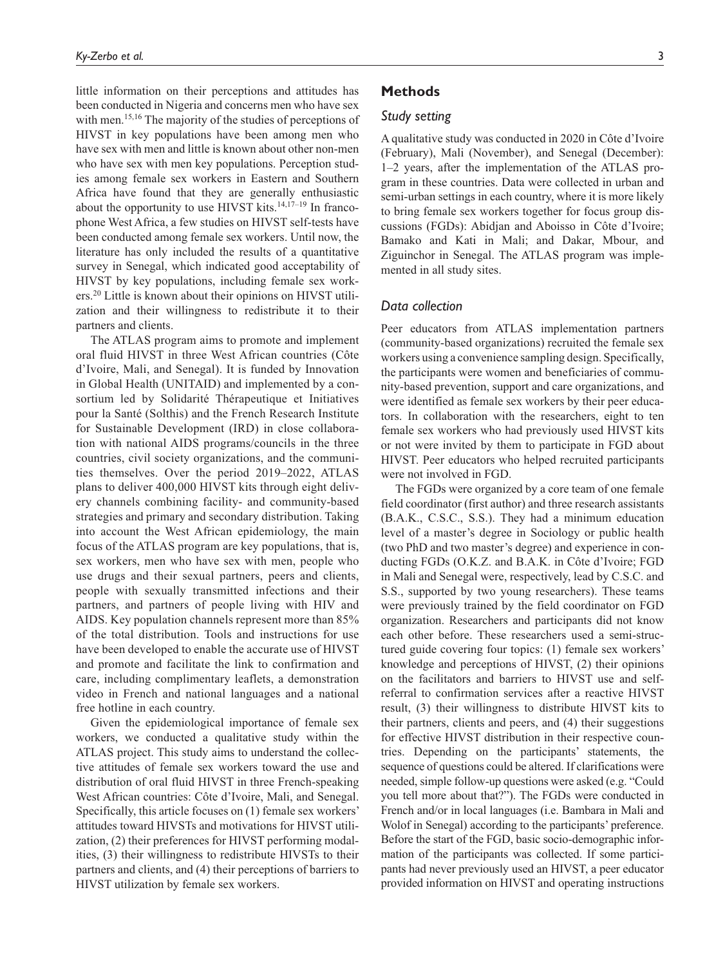little information on their perceptions and attitudes has been conducted in Nigeria and concerns men who have sex with men.<sup>15,16</sup> The majority of the studies of perceptions of HIVST in key populations have been among men who have sex with men and little is known about other non-men who have sex with men key populations. Perception studies among female sex workers in Eastern and Southern Africa have found that they are generally enthusiastic about the opportunity to use HIVST kits.<sup>14,17-19</sup> In francophone West Africa, a few studies on HIVST self-tests have been conducted among female sex workers. Until now, the literature has only included the results of a quantitative survey in Senegal, which indicated good acceptability of HIVST by key populations, including female sex workers.20 Little is known about their opinions on HIVST utilization and their willingness to redistribute it to their partners and clients.

The ATLAS program aims to promote and implement oral fluid HIVST in three West African countries (Côte d'Ivoire, Mali, and Senegal). It is funded by Innovation in Global Health (UNITAID) and implemented by a consortium led by Solidarité Thérapeutique et Initiatives pour la Santé (Solthis) and the French Research Institute for Sustainable Development (IRD) in close collaboration with national AIDS programs/councils in the three countries, civil society organizations, and the communities themselves. Over the period 2019–2022, ATLAS plans to deliver 400,000 HIVST kits through eight delivery channels combining facility- and community-based strategies and primary and secondary distribution. Taking into account the West African epidemiology, the main focus of the ATLAS program are key populations, that is, sex workers, men who have sex with men, people who use drugs and their sexual partners, peers and clients, people with sexually transmitted infections and their partners, and partners of people living with HIV and AIDS. Key population channels represent more than 85% of the total distribution. Tools and instructions for use have been developed to enable the accurate use of HIVST and promote and facilitate the link to confirmation and care, including complimentary leaflets, a demonstration video in French and national languages and a national free hotline in each country.

Given the epidemiological importance of female sex workers, we conducted a qualitative study within the ATLAS project. This study aims to understand the collective attitudes of female sex workers toward the use and distribution of oral fluid HIVST in three French-speaking West African countries: Côte d'Ivoire, Mali, and Senegal. Specifically, this article focuses on (1) female sex workers' attitudes toward HIVSTs and motivations for HIVST utilization, (2) their preferences for HIVST performing modalities, (3) their willingness to redistribute HIVSTs to their partners and clients, and (4) their perceptions of barriers to HIVST utilization by female sex workers.

## **Methods**

#### *Study setting*

A qualitative study was conducted in 2020 in Côte d'Ivoire (February), Mali (November), and Senegal (December): 1–2 years, after the implementation of the ATLAS program in these countries. Data were collected in urban and semi-urban settings in each country, where it is more likely to bring female sex workers together for focus group discussions (FGDs): Abidjan and Aboisso in Côte d'Ivoire; Bamako and Kati in Mali; and Dakar, Mbour, and Ziguinchor in Senegal. The ATLAS program was implemented in all study sites.

## *Data collection*

Peer educators from ATLAS implementation partners (community-based organizations) recruited the female sex workers using a convenience sampling design. Specifically, the participants were women and beneficiaries of community-based prevention, support and care organizations, and were identified as female sex workers by their peer educators. In collaboration with the researchers, eight to ten female sex workers who had previously used HIVST kits or not were invited by them to participate in FGD about HIVST. Peer educators who helped recruited participants were not involved in FGD.

The FGDs were organized by a core team of one female field coordinator (first author) and three research assistants (B.A.K., C.S.C., S.S.). They had a minimum education level of a master's degree in Sociology or public health (two PhD and two master's degree) and experience in conducting FGDs (O.K.Z. and B.A.K. in Côte d'Ivoire; FGD in Mali and Senegal were, respectively, lead by C.S.C. and S.S., supported by two young researchers). These teams were previously trained by the field coordinator on FGD organization. Researchers and participants did not know each other before. These researchers used a semi-structured guide covering four topics: (1) female sex workers' knowledge and perceptions of HIVST, (2) their opinions on the facilitators and barriers to HIVST use and selfreferral to confirmation services after a reactive HIVST result, (3) their willingness to distribute HIVST kits to their partners, clients and peers, and (4) their suggestions for effective HIVST distribution in their respective countries. Depending on the participants' statements, the sequence of questions could be altered. If clarifications were needed, simple follow-up questions were asked (e.g. "Could you tell more about that?"). The FGDs were conducted in French and/or in local languages (i.e. Bambara in Mali and Wolof in Senegal) according to the participants' preference. Before the start of the FGD, basic socio-demographic information of the participants was collected. If some participants had never previously used an HIVST, a peer educator provided information on HIVST and operating instructions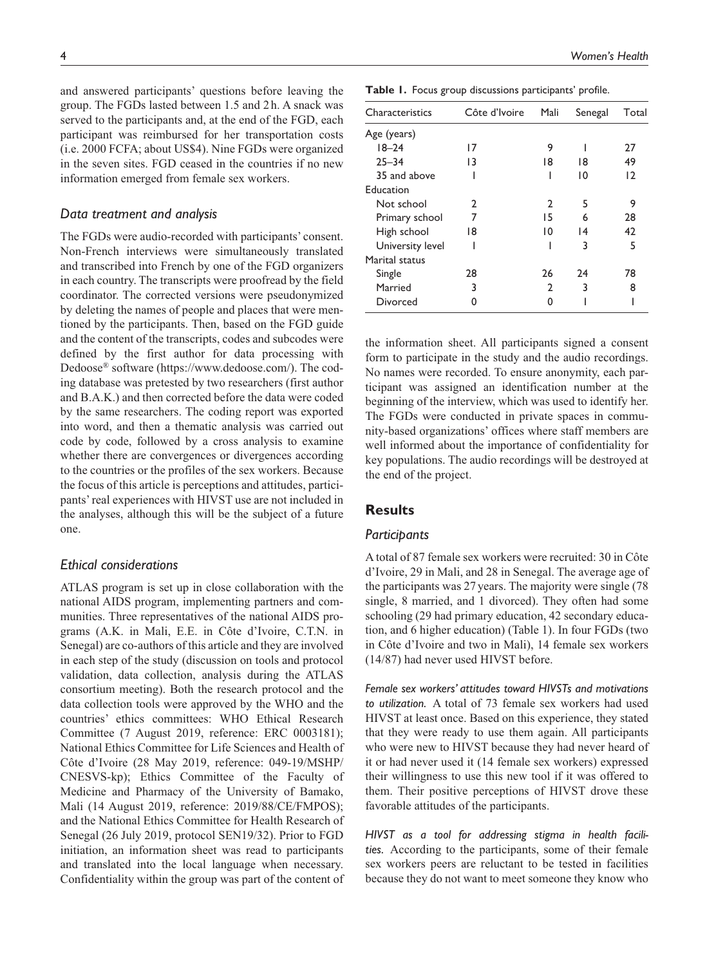and answered participants' questions before leaving the group. The FGDs lasted between 1.5 and 2h. A snack was served to the participants and, at the end of the FGD, each participant was reimbursed for her transportation costs (i.e. 2000 FCFA; about US\$4). Nine FGDs were organized in the seven sites. FGD ceased in the countries if no new information emerged from female sex workers.

#### *Data treatment and analysis*

The FGDs were audio-recorded with participants' consent. Non-French interviews were simultaneously translated and transcribed into French by one of the FGD organizers in each country. The transcripts were proofread by the field coordinator. The corrected versions were pseudonymized by deleting the names of people and places that were mentioned by the participants. Then, based on the FGD guide and the content of the transcripts, codes and subcodes were defined by the first author for data processing with Dedoose® software [\(https://www.dedoose.com/\)](https://www.dedoose.com/). The coding database was pretested by two researchers (first author and B.A.K.) and then corrected before the data were coded by the same researchers. The coding report was exported into word, and then a thematic analysis was carried out code by code, followed by a cross analysis to examine whether there are convergences or divergences according to the countries or the profiles of the sex workers. Because the focus of this article is perceptions and attitudes, participants' real experiences with HIVST use are not included in the analyses, although this will be the subject of a future one.

## *Ethical considerations*

ATLAS program is set up in close collaboration with the national AIDS program, implementing partners and communities. Three representatives of the national AIDS programs (A.K. in Mali, E.E. in Côte d'Ivoire, C.T.N. in Senegal) are co-authors of this article and they are involved in each step of the study (discussion on tools and protocol validation, data collection, analysis during the ATLAS consortium meeting). Both the research protocol and the data collection tools were approved by the WHO and the countries' ethics committees: WHO Ethical Research Committee (7 August 2019, reference: ERC 0003181); National Ethics Committee for Life Sciences and Health of Côte d'Ivoire (28 May 2019, reference: 049-19/MSHP/ CNESVS-kp); Ethics Committee of the Faculty of Medicine and Pharmacy of the University of Bamako, Mali (14 August 2019, reference: 2019/88/CE/FMPOS); and the National Ethics Committee for Health Research of Senegal (26 July 2019, protocol SEN19/32). Prior to FGD initiation, an information sheet was read to participants and translated into the local language when necessary. Confidentiality within the group was part of the content of

**Table 1.** Focus group discussions participants' profile.

| Characteristics  | Côte d'Ivoire | Mali | Senegal | Total          |
|------------------|---------------|------|---------|----------------|
| Age (years)      |               |      |         |                |
| $18 - 24$        | 17            | 9    |         | 27             |
| $25 - 34$        | 13            | 18   | 18      | 49             |
| 35 and above     |               |      | 10      | $\overline{2}$ |
| Education        |               |      |         |                |
| Not school       | 2             | 2    | 5       | 9              |
| Primary school   | 7             | 15   | 6       | 28             |
| High school      | 18            | 10   | 14      | 42             |
| University level |               |      | 3       | 5              |
| Marital status   |               |      |         |                |
| Single           | 28            | 26   | 24      | 78             |
| Married          | 3             | 2    | 3       | 8              |
| <b>Divorced</b>  |               | n    |         |                |

the information sheet. All participants signed a consent form to participate in the study and the audio recordings. No names were recorded. To ensure anonymity, each participant was assigned an identification number at the beginning of the interview, which was used to identify her. The FGDs were conducted in private spaces in community-based organizations' offices where staff members are well informed about the importance of confidentiality for key populations. The audio recordings will be destroyed at the end of the project.

# **Results**

## *Participants*

A total of 87 female sex workers were recruited: 30 in Côte d'Ivoire, 29 in Mali, and 28 in Senegal. The average age of the participants was 27 years. The majority were single (78 single, 8 married, and 1 divorced). They often had some schooling (29 had primary education, 42 secondary education, and 6 higher education) (Table 1). In four FGDs (two in Côte d'Ivoire and two in Mali), 14 female sex workers (14/87) had never used HIVST before.

*Female sex workers' attitudes toward HIVSTs and motivations to utilization.* A total of 73 female sex workers had used HIVST at least once. Based on this experience, they stated that they were ready to use them again. All participants who were new to HIVST because they had never heard of it or had never used it (14 female sex workers) expressed their willingness to use this new tool if it was offered to them. Their positive perceptions of HIVST drove these favorable attitudes of the participants.

*HIVST as a tool for addressing stigma in health facilities.* According to the participants, some of their female sex workers peers are reluctant to be tested in facilities because they do not want to meet someone they know who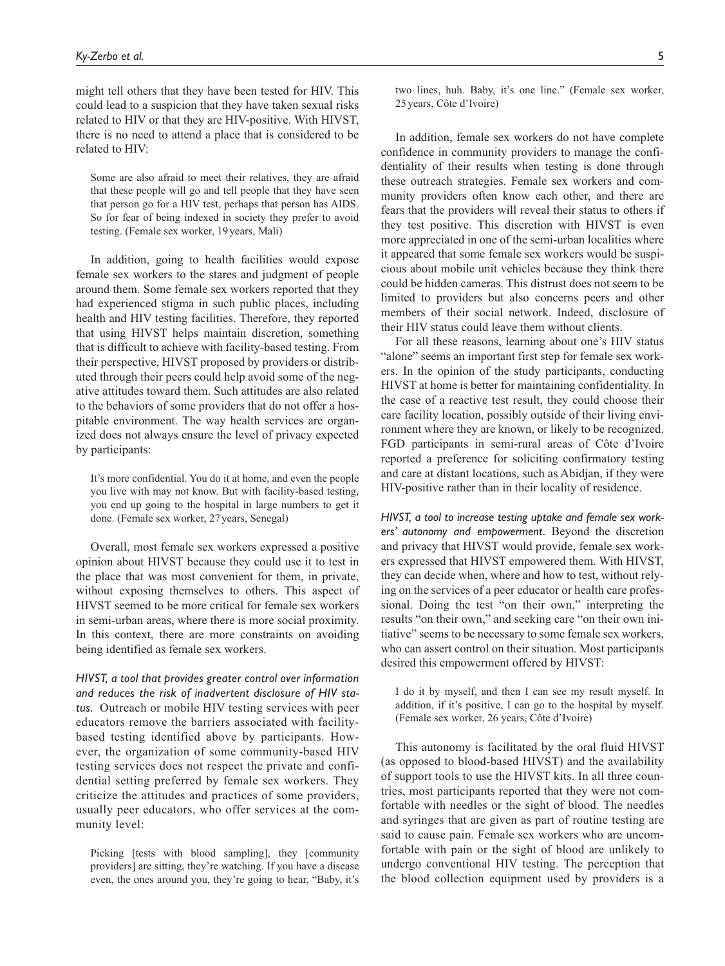might tell others that they have been tested for HIV. This could lead to a suspicion that they have taken sexual risks related to HIV or that they are HIV-positive. With HIVST, there is no need to attend a place that is considered to be related to HIV:

Some are also afraid to meet their relatives, they are afraid that these people will go and tell people that they have seen that person go for a HIV test, perhaps that person has AIDS. So for fear of being indexed in society they prefer to avoid testing. (Female sex worker, 19years, Mali)

In addition, going to health facilities would expose female sex workers to the stares and judgment of people around them. Some female sex workers reported that they had experienced stigma in such public places, including health and HIV testing facilities. Therefore, they reported that using HIVST helps maintain discretion, something that is difficult to achieve with facility-based testing. From their perspective, HIVST proposed by providers or distributed through their peers could help avoid some of the negative attitudes toward them. Such attitudes are also related to the behaviors of some providers that do not offer a hospitable environment. The way health services are organized does not always ensure the level of privacy expected by participants:

It's more confidential. You do it at home, and even the people you live with may not know. But with facility-based testing, you end up going to the hospital in large numbers to get it done. (Female sex worker, 27years, Senegal)

Overall, most female sex workers expressed a positive opinion about HIVST because they could use it to test in the place that was most convenient for them, in private, without exposing themselves to others. This aspect of HIVST seemed to be more critical for female sex workers in semi-urban areas, where there is more social proximity. In this context, there are more constraints on avoiding being identified as female sex workers.

*HIVST, a tool that provides greater control over information and reduces the risk of inadvertent disclosure of HIV status.* Outreach or mobile HIV testing services with peer educators remove the barriers associated with facilitybased testing identified above by participants. However, the organization of some community-based HIV testing services does not respect the private and confidential setting preferred by female sex workers. They criticize the attitudes and practices of some providers, usually peer educators, who offer services at the community level:

Picking [tests with blood sampling], they [community] providers] are sitting, they're watching. If you have a disease even, the ones around you, they're going to hear, "Baby, it's two lines, huh. Baby, it's one line." (Female sex worker, 25years, Côte d'Ivoire)

In addition, female sex workers do not have complete confidence in community providers to manage the confidentiality of their results when testing is done through these outreach strategies. Female sex workers and community providers often know each other, and there are fears that the providers will reveal their status to others if they test positive. This discretion with HIVST is even more appreciated in one of the semi-urban localities where it appeared that some female sex workers would be suspicious about mobile unit vehicles because they think there could be hidden cameras. This distrust does not seem to be limited to providers but also concerns peers and other members of their social network. Indeed, disclosure of their HIV status could leave them without clients.

For all these reasons, learning about one's HIV status "alone" seems an important first step for female sex workers. In the opinion of the study participants, conducting HIVST at home is better for maintaining confidentiality. In the case of a reactive test result, they could choose their care facility location, possibly outside of their living environment where they are known, or likely to be recognized. FGD participants in semi-rural areas of Côte d'Ivoire reported a preference for soliciting confirmatory testing and care at distant locations, such as Abidjan, if they were HIV-positive rather than in their locality of residence.

*HIVST, a tool to increase testing uptake and female sex workers' autonomy and empowerment.* Beyond the discretion and privacy that HIVST would provide, female sex workers expressed that HIVST empowered them. With HIVST, they can decide when, where and how to test, without relying on the services of a peer educator or health care professional. Doing the test "on their own," interpreting the results "on their own," and seeking care "on their own initiative" seems to be necessary to some female sex workers, who can assert control on their situation. Most participants desired this empowerment offered by HIVST:

I do it by myself, and then I can see my result myself. In addition, if it's positive, I can go to the hospital by myself. (Female sex worker, 26 years, Côte d'Ivoire)

This autonomy is facilitated by the oral fluid HIVST (as opposed to blood-based HIVST) and the availability of support tools to use the HIVST kits. In all three countries, most participants reported that they were not comfortable with needles or the sight of blood. The needles and syringes that are given as part of routine testing are said to cause pain. Female sex workers who are uncomfortable with pain or the sight of blood are unlikely to undergo conventional HIV testing. The perception that the blood collection equipment used by providers is a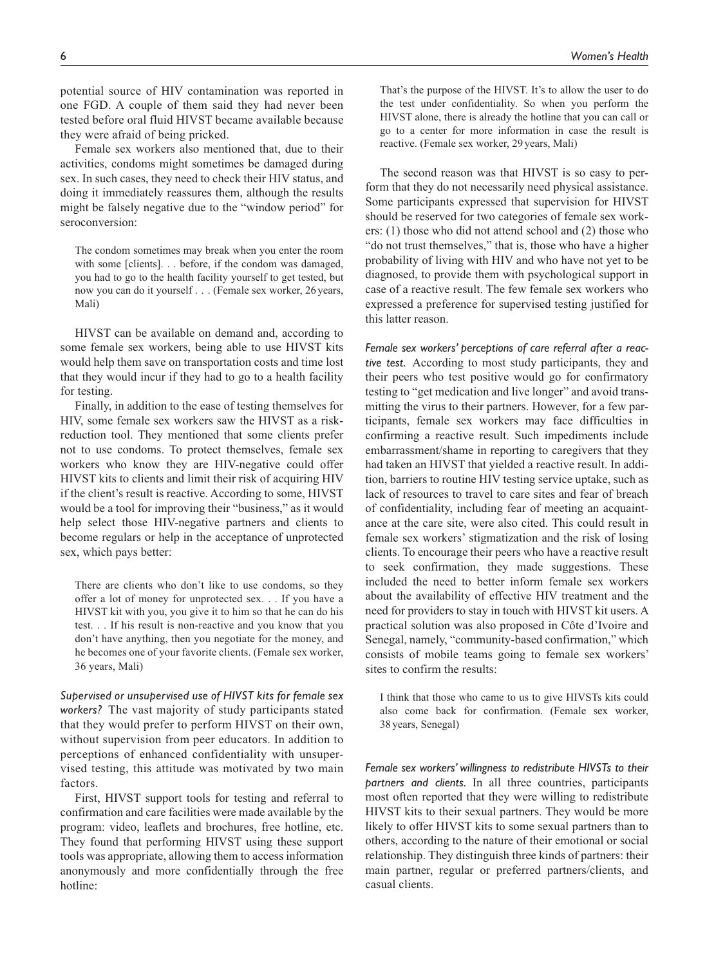potential source of HIV contamination was reported in one FGD. A couple of them said they had never been tested before oral fluid HIVST became available because they were afraid of being pricked.

Female sex workers also mentioned that, due to their activities, condoms might sometimes be damaged during sex. In such cases, they need to check their HIV status, and doing it immediately reassures them, although the results might be falsely negative due to the "window period" for seroconversion:

The condom sometimes may break when you enter the room with some [clients]. . . before, if the condom was damaged, you had to go to the health facility yourself to get tested, but now you can do it yourself . . . (Female sex worker, 26years, Mali)

HIVST can be available on demand and, according to some female sex workers, being able to use HIVST kits would help them save on transportation costs and time lost that they would incur if they had to go to a health facility for testing.

Finally, in addition to the ease of testing themselves for HIV, some female sex workers saw the HIVST as a riskreduction tool. They mentioned that some clients prefer not to use condoms. To protect themselves, female sex workers who know they are HIV-negative could offer HIVST kits to clients and limit their risk of acquiring HIV if the client's result is reactive. According to some, HIVST would be a tool for improving their "business," as it would help select those HIV-negative partners and clients to become regulars or help in the acceptance of unprotected sex, which pays better:

There are clients who don't like to use condoms, so they offer a lot of money for unprotected sex. . . If you have a HIVST kit with you, you give it to him so that he can do his test. . . If his result is non-reactive and you know that you don't have anything, then you negotiate for the money, and he becomes one of your favorite clients. (Female sex worker, 36 years, Mali)

*Supervised or unsupervised use of HIVST kits for female sex workers?* The vast majority of study participants stated that they would prefer to perform HIVST on their own, without supervision from peer educators. In addition to perceptions of enhanced confidentiality with unsupervised testing, this attitude was motivated by two main factors.

First, HIVST support tools for testing and referral to confirmation and care facilities were made available by the program: video, leaflets and brochures, free hotline, etc. They found that performing HIVST using these support tools was appropriate, allowing them to access information anonymously and more confidentially through the free hotline:

That's the purpose of the HIVST. It's to allow the user to do the test under confidentiality. So when you perform the HIVST alone, there is already the hotline that you can call or go to a center for more information in case the result is reactive. (Female sex worker, 29years, Mali)

The second reason was that HIVST is so easy to perform that they do not necessarily need physical assistance. Some participants expressed that supervision for HIVST should be reserved for two categories of female sex workers: (1) those who did not attend school and (2) those who "do not trust themselves," that is, those who have a higher probability of living with HIV and who have not yet to be diagnosed, to provide them with psychological support in case of a reactive result. The few female sex workers who expressed a preference for supervised testing justified for this latter reason.

*Female sex workers' perceptions of care referral after a reactive test.* According to most study participants, they and their peers who test positive would go for confirmatory testing to "get medication and live longer" and avoid transmitting the virus to their partners. However, for a few participants, female sex workers may face difficulties in confirming a reactive result. Such impediments include embarrassment/shame in reporting to caregivers that they had taken an HIVST that yielded a reactive result. In addition, barriers to routine HIV testing service uptake, such as lack of resources to travel to care sites and fear of breach of confidentiality, including fear of meeting an acquaintance at the care site, were also cited. This could result in female sex workers' stigmatization and the risk of losing clients. To encourage their peers who have a reactive result to seek confirmation, they made suggestions. These included the need to better inform female sex workers about the availability of effective HIV treatment and the need for providers to stay in touch with HIVST kit users. A practical solution was also proposed in Côte d'Ivoire and Senegal, namely, "community-based confirmation," which consists of mobile teams going to female sex workers' sites to confirm the results:

I think that those who came to us to give HIVSTs kits could also come back for confirmation. (Female sex worker, 38 years, Senegal)

*Female sex workers' willingness to redistribute HIVSTs to their partners and clients.* In all three countries, participants most often reported that they were willing to redistribute HIVST kits to their sexual partners. They would be more likely to offer HIVST kits to some sexual partners than to others, according to the nature of their emotional or social relationship. They distinguish three kinds of partners: their main partner, regular or preferred partners/clients, and casual clients.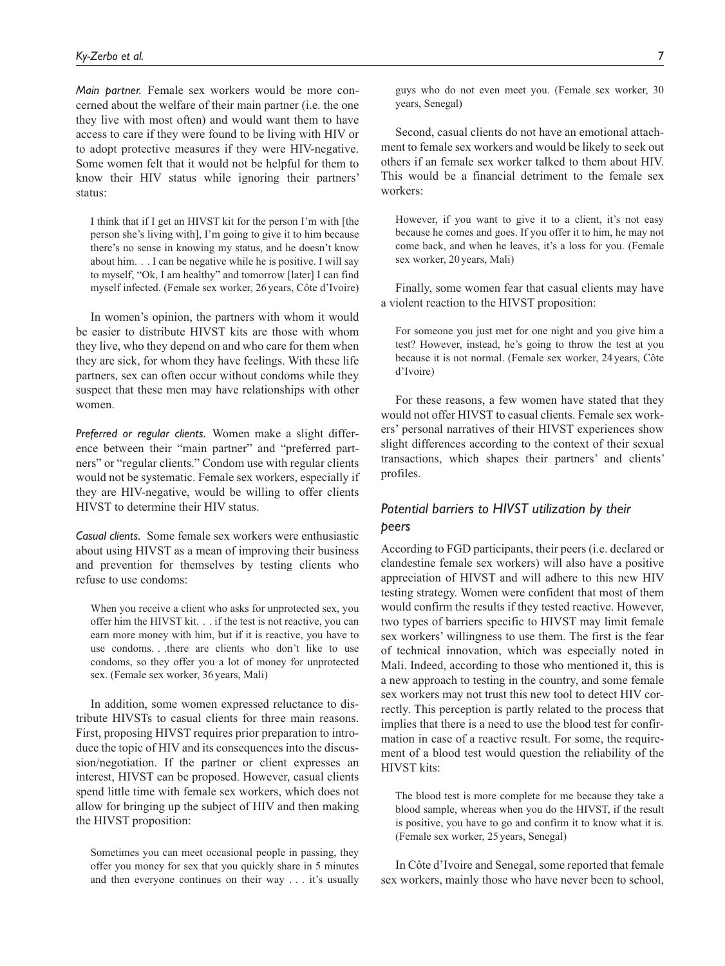*Main partner.* Female sex workers would be more concerned about the welfare of their main partner (i.e. the one they live with most often) and would want them to have access to care if they were found to be living with HIV or to adopt protective measures if they were HIV-negative. Some women felt that it would not be helpful for them to know their HIV status while ignoring their partners' status:

I think that if I get an HIVST kit for the person I'm with [the person she's living with], I'm going to give it to him because there's no sense in knowing my status, and he doesn't know about him. . . I can be negative while he is positive. I will say to myself, "Ok, I am healthy" and tomorrow [later] I can find myself infected. (Female sex worker, 26 years, Côte d'Ivoire)

In women's opinion, the partners with whom it would be easier to distribute HIVST kits are those with whom they live, who they depend on and who care for them when they are sick, for whom they have feelings. With these life partners, sex can often occur without condoms while they suspect that these men may have relationships with other women.

*Preferred or regular clients.* Women make a slight difference between their "main partner" and "preferred partners" or "regular clients." Condom use with regular clients would not be systematic. Female sex workers, especially if they are HIV-negative, would be willing to offer clients HIVST to determine their HIV status.

*Casual clients.* Some female sex workers were enthusiastic about using HIVST as a mean of improving their business and prevention for themselves by testing clients who refuse to use condoms:

When you receive a client who asks for unprotected sex, you offer him the HIVST kit. . . if the test is not reactive, you can earn more money with him, but if it is reactive, you have to use condoms. . .there are clients who don't like to use condoms, so they offer you a lot of money for unprotected sex. (Female sex worker, 36years, Mali)

In addition, some women expressed reluctance to distribute HIVSTs to casual clients for three main reasons. First, proposing HIVST requires prior preparation to introduce the topic of HIV and its consequences into the discussion/negotiation. If the partner or client expresses an interest, HIVST can be proposed. However, casual clients spend little time with female sex workers, which does not allow for bringing up the subject of HIV and then making the HIVST proposition:

Sometimes you can meet occasional people in passing, they offer you money for sex that you quickly share in 5 minutes and then everyone continues on their way . . . it's usually guys who do not even meet you. (Female sex worker, 30 years, Senegal)

Second, casual clients do not have an emotional attachment to female sex workers and would be likely to seek out others if an female sex worker talked to them about HIV. This would be a financial detriment to the female sex workers:

However, if you want to give it to a client, it's not easy because he comes and goes. If you offer it to him, he may not come back, and when he leaves, it's a loss for you. (Female sex worker, 20years, Mali)

Finally, some women fear that casual clients may have a violent reaction to the HIVST proposition:

For someone you just met for one night and you give him a test? However, instead, he's going to throw the test at you because it is not normal. (Female sex worker, 24years, Côte d'Ivoire)

For these reasons, a few women have stated that they would not offer HIVST to casual clients. Female sex workers' personal narratives of their HIVST experiences show slight differences according to the context of their sexual transactions, which shapes their partners' and clients' profiles.

# *Potential barriers to HIVST utilization by their peers*

According to FGD participants, their peers (i.e. declared or clandestine female sex workers) will also have a positive appreciation of HIVST and will adhere to this new HIV testing strategy. Women were confident that most of them would confirm the results if they tested reactive. However, two types of barriers specific to HIVST may limit female sex workers' willingness to use them. The first is the fear of technical innovation, which was especially noted in Mali. Indeed, according to those who mentioned it, this is a new approach to testing in the country, and some female sex workers may not trust this new tool to detect HIV correctly. This perception is partly related to the process that implies that there is a need to use the blood test for confirmation in case of a reactive result. For some, the requirement of a blood test would question the reliability of the HIVST kits:

The blood test is more complete for me because they take a blood sample, whereas when you do the HIVST, if the result is positive, you have to go and confirm it to know what it is. (Female sex worker, 25years, Senegal)

In Côte d'Ivoire and Senegal, some reported that female sex workers, mainly those who have never been to school,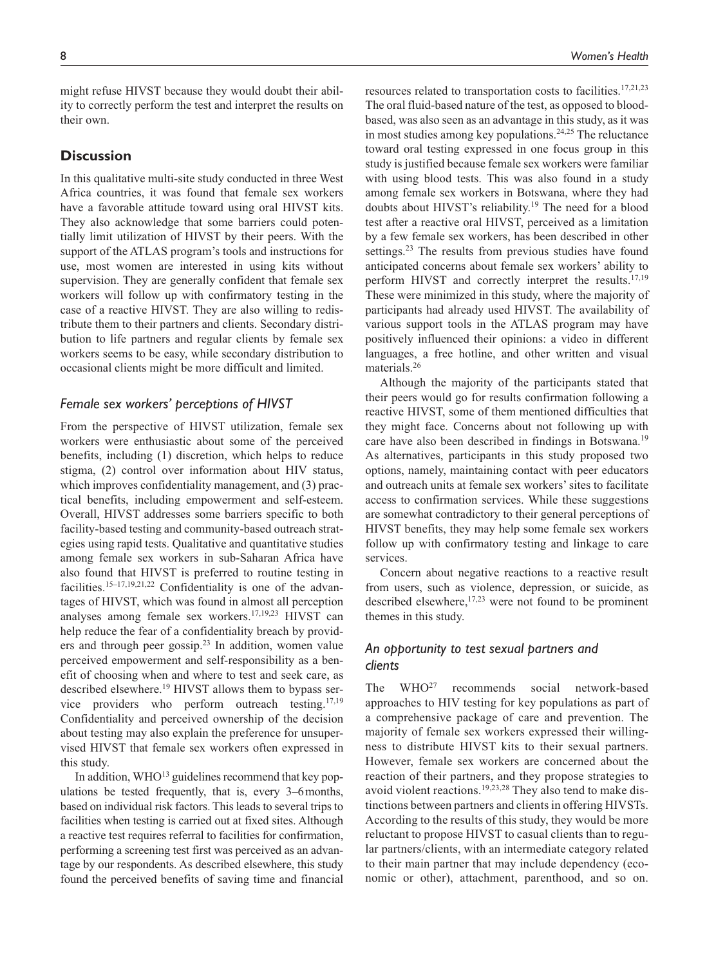might refuse HIVST because they would doubt their ability to correctly perform the test and interpret the results on their own.

## **Discussion**

In this qualitative multi-site study conducted in three West Africa countries, it was found that female sex workers have a favorable attitude toward using oral HIVST kits. They also acknowledge that some barriers could potentially limit utilization of HIVST by their peers. With the support of the ATLAS program's tools and instructions for use, most women are interested in using kits without supervision. They are generally confident that female sex workers will follow up with confirmatory testing in the case of a reactive HIVST. They are also willing to redistribute them to their partners and clients. Secondary distribution to life partners and regular clients by female sex workers seems to be easy, while secondary distribution to occasional clients might be more difficult and limited.

## *Female sex workers' perceptions of HIVST*

From the perspective of HIVST utilization, female sex workers were enthusiastic about some of the perceived benefits, including (1) discretion, which helps to reduce stigma, (2) control over information about HIV status, which improves confidentiality management, and (3) practical benefits, including empowerment and self-esteem. Overall, HIVST addresses some barriers specific to both facility-based testing and community-based outreach strategies using rapid tests. Qualitative and quantitative studies among female sex workers in sub-Saharan Africa have also found that HIVST is preferred to routine testing in facilities.<sup>15-17,19,21,22</sup> Confidentiality is one of the advantages of HIVST, which was found in almost all perception analyses among female sex workers.17,19,23 HIVST can help reduce the fear of a confidentiality breach by providers and through peer gossip.<sup>23</sup> In addition, women value perceived empowerment and self-responsibility as a benefit of choosing when and where to test and seek care, as described elsewhere.19 HIVST allows them to bypass service providers who perform outreach testing.<sup>17,19</sup> Confidentiality and perceived ownership of the decision about testing may also explain the preference for unsupervised HIVST that female sex workers often expressed in this study.

In addition,  $WHO^{13}$  guidelines recommend that key populations be tested frequently, that is, every 3–6months, based on individual risk factors. This leads to several trips to facilities when testing is carried out at fixed sites. Although a reactive test requires referral to facilities for confirmation, performing a screening test first was perceived as an advantage by our respondents. As described elsewhere, this study found the perceived benefits of saving time and financial resources related to transportation costs to facilities.<sup>17,21,23</sup> The oral fluid-based nature of the test, as opposed to bloodbased, was also seen as an advantage in this study, as it was in most studies among key populations.<sup>24,25</sup> The reluctance toward oral testing expressed in one focus group in this study is justified because female sex workers were familiar with using blood tests. This was also found in a study among female sex workers in Botswana, where they had doubts about HIVST's reliability.19 The need for a blood test after a reactive oral HIVST, perceived as a limitation by a few female sex workers, has been described in other settings.<sup>23</sup> The results from previous studies have found anticipated concerns about female sex workers' ability to perform HIVST and correctly interpret the results. $17,19$ These were minimized in this study, where the majority of participants had already used HIVST. The availability of various support tools in the ATLAS program may have positively influenced their opinions: a video in different languages, a free hotline, and other written and visual materials.<sup>26</sup>

Although the majority of the participants stated that their peers would go for results confirmation following a reactive HIVST, some of them mentioned difficulties that they might face. Concerns about not following up with care have also been described in findings in Botswana.<sup>19</sup> As alternatives, participants in this study proposed two options, namely, maintaining contact with peer educators and outreach units at female sex workers' sites to facilitate access to confirmation services. While these suggestions are somewhat contradictory to their general perceptions of HIVST benefits, they may help some female sex workers follow up with confirmatory testing and linkage to care services.

Concern about negative reactions to a reactive result from users, such as violence, depression, or suicide, as described elsewhere,  $17,23$  were not found to be prominent themes in this study.

# *An opportunity to test sexual partners and clients*

The WHO<sup>27</sup> recommends social network-based approaches to HIV testing for key populations as part of a comprehensive package of care and prevention. The majority of female sex workers expressed their willingness to distribute HIVST kits to their sexual partners. However, female sex workers are concerned about the reaction of their partners, and they propose strategies to avoid violent reactions.19,23,28 They also tend to make distinctions between partners and clients in offering HIVSTs. According to the results of this study, they would be more reluctant to propose HIVST to casual clients than to regular partners/clients, with an intermediate category related to their main partner that may include dependency (economic or other), attachment, parenthood, and so on.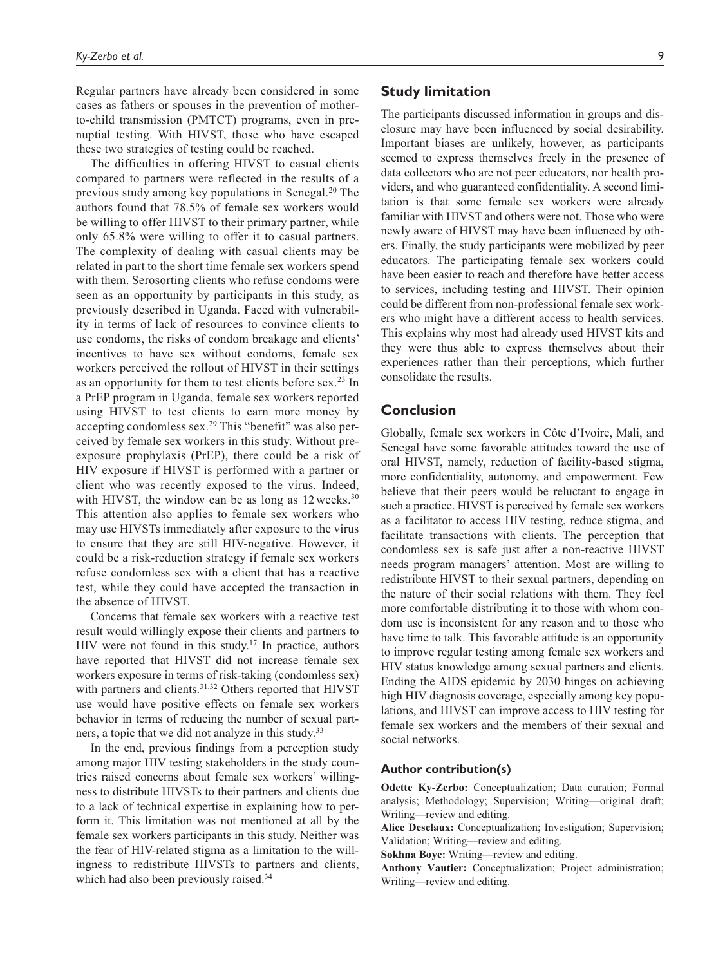Regular partners have already been considered in some cases as fathers or spouses in the prevention of motherto-child transmission (PMTCT) programs, even in prenuptial testing. With HIVST, those who have escaped these two strategies of testing could be reached.

The difficulties in offering HIVST to casual clients compared to partners were reflected in the results of a previous study among key populations in Senegal.20 The authors found that 78.5% of female sex workers would be willing to offer HIVST to their primary partner, while only 65.8% were willing to offer it to casual partners. The complexity of dealing with casual clients may be related in part to the short time female sex workers spend with them. Serosorting clients who refuse condoms were seen as an opportunity by participants in this study, as previously described in Uganda. Faced with vulnerability in terms of lack of resources to convince clients to use condoms, the risks of condom breakage and clients' incentives to have sex without condoms, female sex workers perceived the rollout of HIVST in their settings as an opportunity for them to test clients before sex.<sup>23</sup> In a PrEP program in Uganda, female sex workers reported using HIVST to test clients to earn more money by accepting condomless sex.29 This "benefit" was also perceived by female sex workers in this study. Without preexposure prophylaxis (PrEP), there could be a risk of HIV exposure if HIVST is performed with a partner or client who was recently exposed to the virus. Indeed, with HIVST, the window can be as long as  $12$  weeks.<sup>30</sup> This attention also applies to female sex workers who may use HIVSTs immediately after exposure to the virus to ensure that they are still HIV-negative. However, it could be a risk-reduction strategy if female sex workers refuse condomless sex with a client that has a reactive test, while they could have accepted the transaction in the absence of HIVST.

Concerns that female sex workers with a reactive test result would willingly expose their clients and partners to HIV were not found in this study.<sup>17</sup> In practice, authors have reported that HIVST did not increase female sex workers exposure in terms of risk-taking (condomless sex) with partners and clients.<sup>31,32</sup> Others reported that HIVST use would have positive effects on female sex workers behavior in terms of reducing the number of sexual partners, a topic that we did not analyze in this study.<sup>33</sup>

In the end, previous findings from a perception study among major HIV testing stakeholders in the study countries raised concerns about female sex workers' willingness to distribute HIVSTs to their partners and clients due to a lack of technical expertise in explaining how to perform it. This limitation was not mentioned at all by the female sex workers participants in this study. Neither was the fear of HIV-related stigma as a limitation to the willingness to redistribute HIVSTs to partners and clients, which had also been previously raised.<sup>34</sup>

## **Study limitation**

The participants discussed information in groups and disclosure may have been influenced by social desirability. Important biases are unlikely, however, as participants seemed to express themselves freely in the presence of data collectors who are not peer educators, nor health providers, and who guaranteed confidentiality. A second limitation is that some female sex workers were already familiar with HIVST and others were not. Those who were newly aware of HIVST may have been influenced by others. Finally, the study participants were mobilized by peer educators. The participating female sex workers could have been easier to reach and therefore have better access to services, including testing and HIVST. Their opinion could be different from non-professional female sex workers who might have a different access to health services. This explains why most had already used HIVST kits and they were thus able to express themselves about their experiences rather than their perceptions, which further consolidate the results.

# **Conclusion**

Globally, female sex workers in Côte d'Ivoire, Mali, and Senegal have some favorable attitudes toward the use of oral HIVST, namely, reduction of facility-based stigma, more confidentiality, autonomy, and empowerment. Few believe that their peers would be reluctant to engage in such a practice. HIVST is perceived by female sex workers as a facilitator to access HIV testing, reduce stigma, and facilitate transactions with clients. The perception that condomless sex is safe just after a non-reactive HIVST needs program managers' attention. Most are willing to redistribute HIVST to their sexual partners, depending on the nature of their social relations with them. They feel more comfortable distributing it to those with whom condom use is inconsistent for any reason and to those who have time to talk. This favorable attitude is an opportunity to improve regular testing among female sex workers and HIV status knowledge among sexual partners and clients. Ending the AIDS epidemic by 2030 hinges on achieving high HIV diagnosis coverage, especially among key populations, and HIVST can improve access to HIV testing for female sex workers and the members of their sexual and social networks.

#### **Author contribution(s)**

**Odette Ky-Zerbo:** Conceptualization; Data curation; Formal analysis; Methodology; Supervision; Writing—original draft; Writing—review and editing.

**Alice Desclaux:** Conceptualization; Investigation; Supervision; Validation; Writing—review and editing.

**Sokhna Boye:** Writing—review and editing.

**Anthony Vautier:** Conceptualization; Project administration; Writing—review and editing.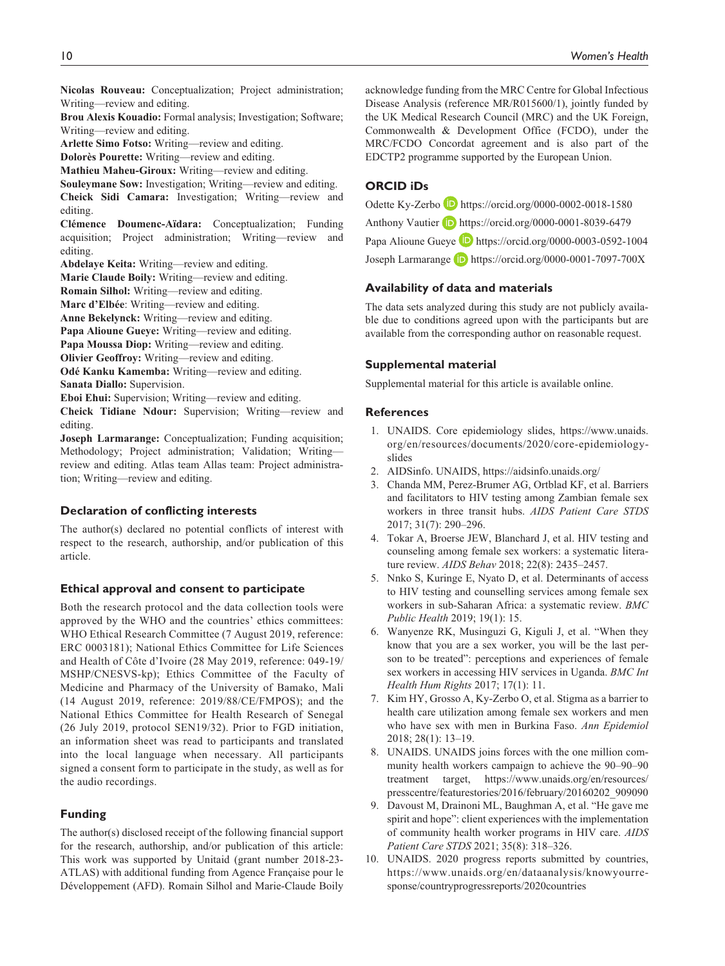**Nicolas Rouveau:** Conceptualization; Project administration; Writing—review and editing.

**Brou Alexis Kouadio:** Formal analysis; Investigation; Software; Writing—review and editing.

**Arlette Simo Fotso:** Writing—review and editing.

**Dolorès Pourette:** Writing—review and editing.

**Mathieu Maheu-Giroux:** Writing—review and editing.

**Souleymane Sow:** Investigation; Writing—review and editing. **Cheick Sidi Camara:** Investigation; Writing—review and editing.

**Clémence Doumenc-Aïdara:** Conceptualization; Funding acquisition; Project administration; Writing—review and editing.

**Abdelaye Keita:** Writing—review and editing.

**Marie Claude Boily:** Writing—review and editing.

**Romain Silhol:** Writing—review and editing.

**Marc d'Elbée**: Writing—review and editing.

**Anne Bekelynck:** Writing—review and editing.

**Papa Alioune Gueye:** Writing—review and editing.

Papa Moussa Diop: Writing—review and editing.

**Olivier Geoffroy:** Writing—review and editing.

**Odé Kanku Kamemba:** Writing—review and editing. **Sanata Diallo:** Supervision.

**Eboi Ehui:** Supervision; Writing—review and editing.

**Cheick Tidiane Ndour:** Supervision; Writing—review and editing.

**Joseph Larmarange:** Conceptualization; Funding acquisition; Methodology; Project administration; Validation; Writing review and editing. Atlas team Allas team: Project administration; Writing—review and editing.

#### **Declaration of conflicting interests**

The author(s) declared no potential conflicts of interest with respect to the research, authorship, and/or publication of this article.

#### **Ethical approval and consent to participate**

Both the research protocol and the data collection tools were approved by the WHO and the countries' ethics committees: WHO Ethical Research Committee (7 August 2019, reference: ERC 0003181); National Ethics Committee for Life Sciences and Health of Côte d'Ivoire (28 May 2019, reference: 049-19/ MSHP/CNESVS-kp); Ethics Committee of the Faculty of Medicine and Pharmacy of the University of Bamako, Mali (14 August 2019, reference: 2019/88/CE/FMPOS); and the National Ethics Committee for Health Research of Senegal (26 July 2019, protocol SEN19/32). Prior to FGD initiation, an information sheet was read to participants and translated into the local language when necessary. All participants signed a consent form to participate in the study, as well as for the audio recordings.

#### **Funding**

The author(s) disclosed receipt of the following financial support for the research, authorship, and/or publication of this article: This work was supported by Unitaid (grant number 2018-23- ATLAS) with additional funding from Agence Française pour le Développement (AFD). Romain Silhol and Marie-Claude Boily

acknowledge funding from the MRC Centre for Global Infectious Disease Analysis (reference MR/R015600/1), jointly funded by the UK Medical Research Council (MRC) and the UK Foreign, Commonwealth & Development Office (FCDO), under the MRC/FCDO Concordat agreement and is also part of the EDCTP2 programme supported by the European Union.

## **ORCID iDs**

Odette Ky-Zerbo **b** <https://orcid.org/0000-0002-0018-1580>

Anthony Vautier **h**ttps://orcid.org/0000-0001-8039-6479

Papa Alioune Gueye D <https://orcid.org/0000-0003-0592-1004>

Joseph Larmarange **b** <https://orcid.org/0000-0001-7097-700X>

#### **Availability of data and materials**

The data sets analyzed during this study are not publicly available due to conditions agreed upon with the participants but are available from the corresponding author on reasonable request.

#### **Supplemental material**

Supplemental material for this article is available online.

#### **References**

- 1. UNAIDS. Core epidemiology slides, [https://www.unaids.](https://www.unaids.org/en/resources/documents/2020/core-epidemiology-slides) [org/en/resources/documents/2020/core-epidemiology](https://www.unaids.org/en/resources/documents/2020/core-epidemiology-slides)[slides](https://www.unaids.org/en/resources/documents/2020/core-epidemiology-slides)
- 2. AIDSinfo. UNAIDS, <https://aidsinfo.unaids.org/>
- 3. Chanda MM, Perez-Brumer AG, Ortblad KF, et al. Barriers and facilitators to HIV testing among Zambian female sex workers in three transit hubs. *AIDS Patient Care STDS* 2017; 31(7): 290–296.
- 4. Tokar A, Broerse JEW, Blanchard J, et al. HIV testing and counseling among female sex workers: a systematic literature review. *AIDS Behav* 2018; 22(8): 2435–2457.
- 5. Nnko S, Kuringe E, Nyato D, et al. Determinants of access to HIV testing and counselling services among female sex workers in sub-Saharan Africa: a systematic review. *BMC Public Health* 2019; 19(1): 15.
- 6. Wanyenze RK, Musinguzi G, Kiguli J, et al. "When they know that you are a sex worker, you will be the last person to be treated": perceptions and experiences of female sex workers in accessing HIV services in Uganda. *BMC Int Health Hum Rights* 2017; 17(1): 11.
- 7. Kim HY, Grosso A, Ky-Zerbo O, et al. Stigma as a barrier to health care utilization among female sex workers and men who have sex with men in Burkina Faso. *Ann Epidemiol* 2018; 28(1): 13–19.
- 8. UNAIDS. UNAIDS joins forces with the one million community health workers campaign to achieve the 90–90–90 treatment target, [https://www.unaids.org/en/resources/](https://www.unaids.org/en/resources/presscentre/featurestories/2016/february/20160202_909090) [presscentre/featurestories/2016/february/20160202\\_909090](https://www.unaids.org/en/resources/presscentre/featurestories/2016/february/20160202_909090)
- 9. Davoust M, Drainoni ML, Baughman A, et al. "He gave me spirit and hope": client experiences with the implementation of community health worker programs in HIV care. *AIDS Patient Care STDS* 2021; 35(8): 318–326.
- 10. UNAIDS. 2020 progress reports submitted by countries, [https://www.unaids.org/en/dataanalysis/knowyourre](https://www.unaids.org/en/dataanalysis/knowyourresponse/countryprogressreports/2020countries)[sponse/countryprogressreports/2020countries](https://www.unaids.org/en/dataanalysis/knowyourresponse/countryprogressreports/2020countries)